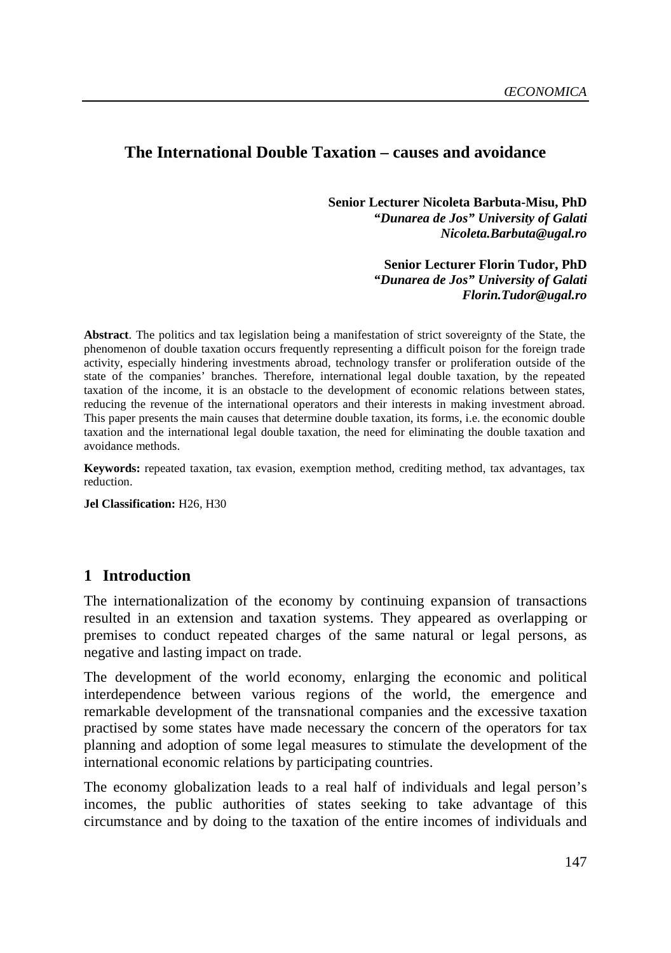### **The International Double Taxation – causes and avoidance**

**Senior Lecturer Nicoleta Barbuta-Misu, PhD**  *"Dunarea de Jos" University of Galati Nicoleta.Barbuta@ugal.ro* 

> **Senior Lecturer Florin Tudor, PhD** *"Dunarea de Jos" University of Galati Florin.Tudor@ugal.ro*

**Abstract**. The politics and tax legislation being a manifestation of strict sovereignty of the State, the phenomenon of double taxation occurs frequently representing a difficult poison for the foreign trade activity, especially hindering investments abroad, technology transfer or proliferation outside of the state of the companies' branches. Therefore, international legal double taxation, by the repeated taxation of the income, it is an obstacle to the development of economic relations between states, reducing the revenue of the international operators and their interests in making investment abroad. This paper presents the main causes that determine double taxation, its forms, i.e. the economic double taxation and the international legal double taxation, the need for eliminating the double taxation and avoidance methods.

**Keywords:** repeated taxation, tax evasion, exemption method, crediting method, tax advantages, tax reduction.

**Jel Classification:** H26, H30

#### **1 Introduction**

The internationalization of the economy by continuing expansion of transactions resulted in an extension and taxation systems. They appeared as overlapping or premises to conduct repeated charges of the same natural or legal persons, as negative and lasting impact on trade.

The development of the world economy, enlarging the economic and political interdependence between various regions of the world, the emergence and remarkable development of the transnational companies and the excessive taxation practised by some states have made necessary the concern of the operators for tax planning and adoption of some legal measures to stimulate the development of the international economic relations by participating countries.

The economy globalization leads to a real half of individuals and legal person's incomes, the public authorities of states seeking to take advantage of this circumstance and by doing to the taxation of the entire incomes of individuals and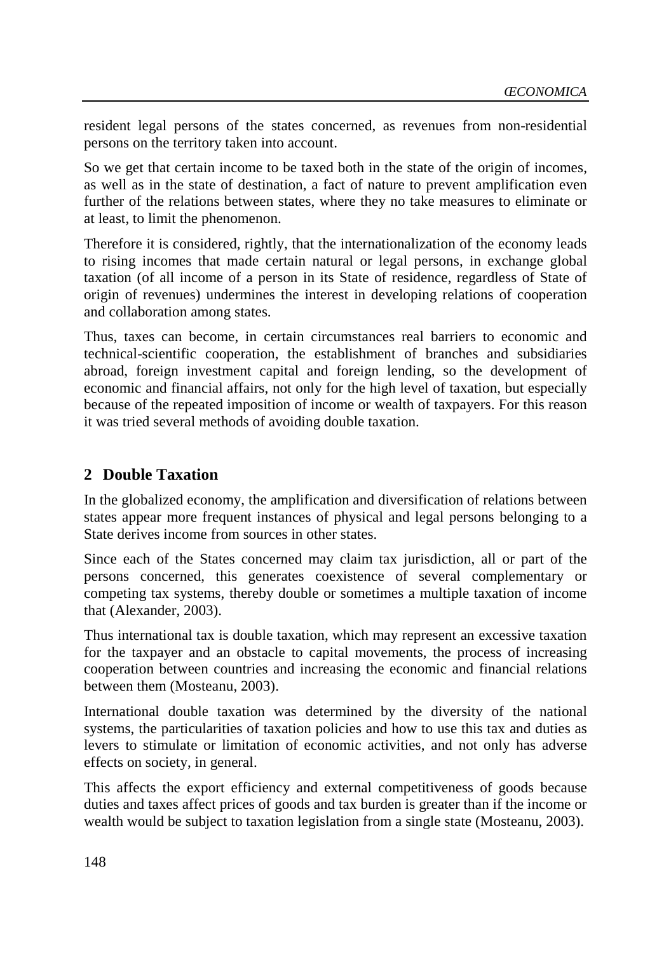resident legal persons of the states concerned, as revenues from non-residential persons on the territory taken into account.

So we get that certain income to be taxed both in the state of the origin of incomes, as well as in the state of destination, a fact of nature to prevent amplification even further of the relations between states, where they no take measures to eliminate or at least, to limit the phenomenon.

Therefore it is considered, rightly, that the internationalization of the economy leads to rising incomes that made certain natural or legal persons, in exchange global taxation (of all income of a person in its State of residence, regardless of State of origin of revenues) undermines the interest in developing relations of cooperation and collaboration among states.

Thus, taxes can become, in certain circumstances real barriers to economic and technical-scientific cooperation, the establishment of branches and subsidiaries abroad, foreign investment capital and foreign lending, so the development of economic and financial affairs, not only for the high level of taxation, but especially because of the repeated imposition of income or wealth of taxpayers. For this reason it was tried several methods of avoiding double taxation.

## **2 Double Taxation**

In the globalized economy, the amplification and diversification of relations between states appear more frequent instances of physical and legal persons belonging to a State derives income from sources in other states.

Since each of the States concerned may claim tax jurisdiction, all or part of the persons concerned, this generates coexistence of several complementary or competing tax systems, thereby double or sometimes a multiple taxation of income that (Alexander, 2003).

Thus international tax is double taxation, which may represent an excessive taxation for the taxpayer and an obstacle to capital movements, the process of increasing cooperation between countries and increasing the economic and financial relations between them (Mosteanu, 2003).

International double taxation was determined by the diversity of the national systems, the particularities of taxation policies and how to use this tax and duties as levers to stimulate or limitation of economic activities, and not only has adverse effects on society, in general.

This affects the export efficiency and external competitiveness of goods because duties and taxes affect prices of goods and tax burden is greater than if the income or wealth would be subject to taxation legislation from a single state (Mosteanu, 2003).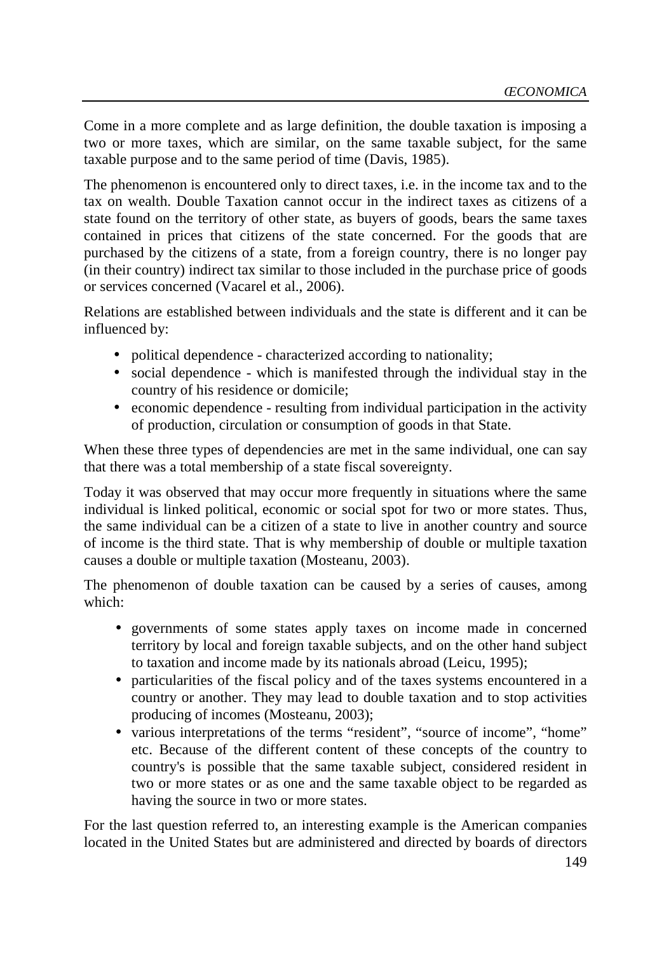Come in a more complete and as large definition, the double taxation is imposing a two or more taxes, which are similar, on the same taxable subject, for the same taxable purpose and to the same period of time (Davis, 1985).

The phenomenon is encountered only to direct taxes, i.e. in the income tax and to the tax on wealth. Double Taxation cannot occur in the indirect taxes as citizens of a state found on the territory of other state, as buyers of goods, bears the same taxes contained in prices that citizens of the state concerned. For the goods that are purchased by the citizens of a state, from a foreign country, there is no longer pay (in their country) indirect tax similar to those included in the purchase price of goods or services concerned (Vacarel et al., 2006).

Relations are established between individuals and the state is different and it can be influenced by:

- political dependence characterized according to nationality;
- social dependence which is manifested through the individual stay in the country of his residence or domicile;
- economic dependence resulting from individual participation in the activity of production, circulation or consumption of goods in that State.

When these three types of dependencies are met in the same individual, one can say that there was a total membership of a state fiscal sovereignty.

Today it was observed that may occur more frequently in situations where the same individual is linked political, economic or social spot for two or more states. Thus, the same individual can be a citizen of a state to live in another country and source of income is the third state. That is why membership of double or multiple taxation causes a double or multiple taxation (Mosteanu, 2003).

The phenomenon of double taxation can be caused by a series of causes, among which:

- governments of some states apply taxes on income made in concerned territory by local and foreign taxable subjects, and on the other hand subject to taxation and income made by its nationals abroad (Leicu, 1995);
- particularities of the fiscal policy and of the taxes systems encountered in a country or another. They may lead to double taxation and to stop activities producing of incomes (Mosteanu, 2003);
- various interpretations of the terms "resident", "source of income", "home" etc. Because of the different content of these concepts of the country to country's is possible that the same taxable subject, considered resident in two or more states or as one and the same taxable object to be regarded as having the source in two or more states.

For the last question referred to, an interesting example is the American companies located in the United States but are administered and directed by boards of directors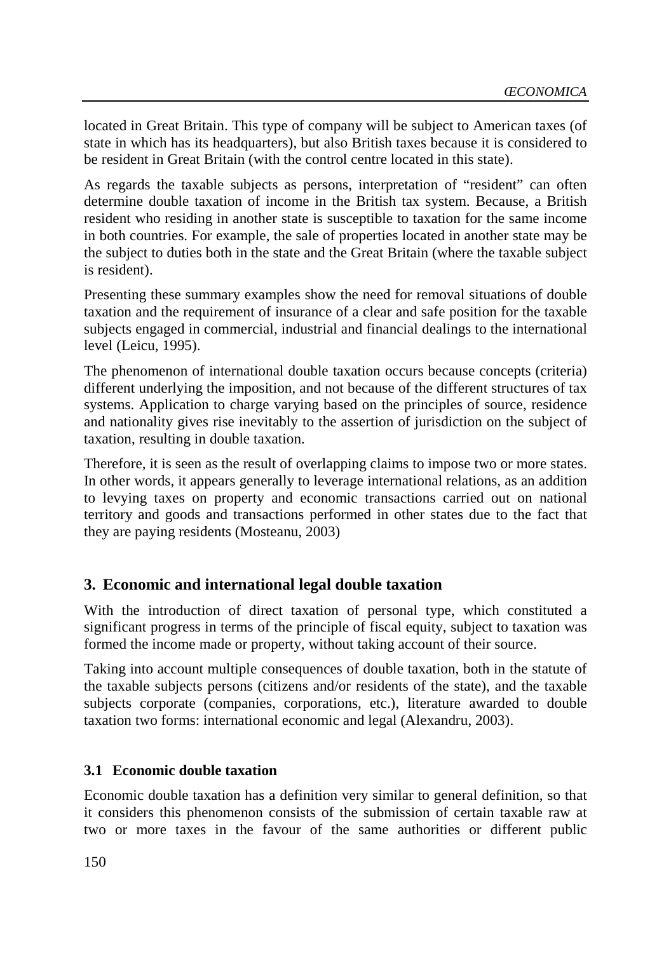located in Great Britain. This type of company will be subject to American taxes (of state in which has its headquarters), but also British taxes because it is considered to be resident in Great Britain (with the control centre located in this state).

As regards the taxable subjects as persons, interpretation of "resident" can often determine double taxation of income in the British tax system. Because, a British resident who residing in another state is susceptible to taxation for the same income in both countries. For example, the sale of properties located in another state may be the subject to duties both in the state and the Great Britain (where the taxable subject is resident).

Presenting these summary examples show the need for removal situations of double taxation and the requirement of insurance of a clear and safe position for the taxable subjects engaged in commercial, industrial and financial dealings to the international level (Leicu, 1995).

The phenomenon of international double taxation occurs because concepts (criteria) different underlying the imposition, and not because of the different structures of tax systems. Application to charge varying based on the principles of source, residence and nationality gives rise inevitably to the assertion of jurisdiction on the subject of taxation, resulting in double taxation.

Therefore, it is seen as the result of overlapping claims to impose two or more states. In other words, it appears generally to leverage international relations, as an addition to levying taxes on property and economic transactions carried out on national territory and goods and transactions performed in other states due to the fact that they are paying residents (Mosteanu, 2003)

# **3. Economic and international legal double taxation**

With the introduction of direct taxation of personal type, which constituted a significant progress in terms of the principle of fiscal equity, subject to taxation was formed the income made or property, without taking account of their source.

Taking into account multiple consequences of double taxation, both in the statute of the taxable subjects persons (citizens and/or residents of the state), and the taxable subjects corporate (companies, corporations, etc.), literature awarded to double taxation two forms: international economic and legal (Alexandru, 2003).

## **3.1 Economic double taxation**

Economic double taxation has a definition very similar to general definition, so that it considers this phenomenon consists of the submission of certain taxable raw at two or more taxes in the favour of the same authorities or different public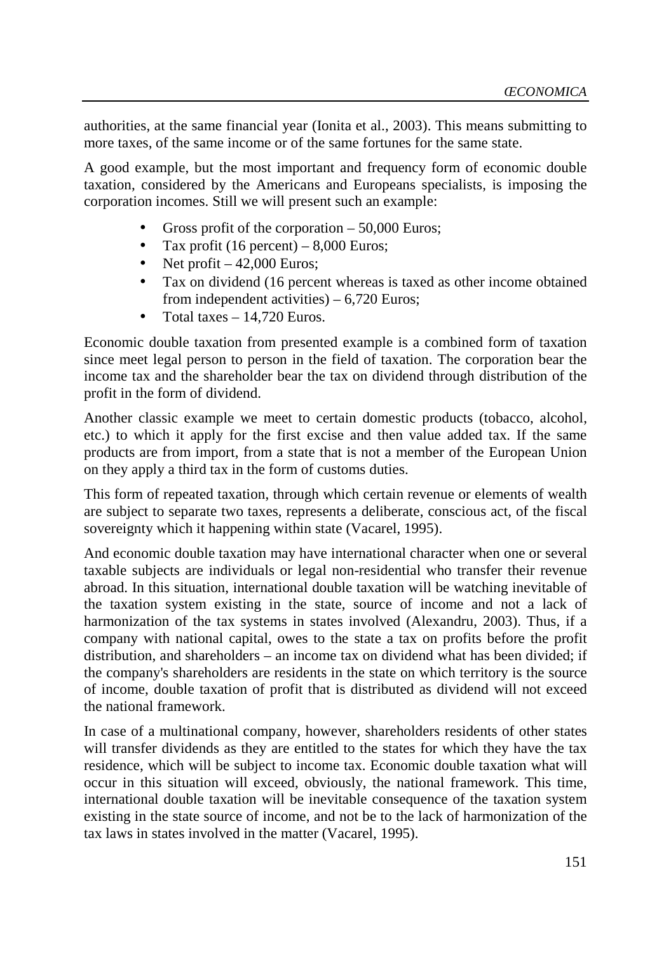authorities, at the same financial year (Ionita et al., 2003). This means submitting to more taxes, of the same income or of the same fortunes for the same state.

A good example, but the most important and frequency form of economic double taxation, considered by the Americans and Europeans specialists, is imposing the corporation incomes. Still we will present such an example:

- Gross profit of the corporation  $-50,000$  Euros;
- Tax profit (16 percent)  $8,000$  Euros;
- Net profit  $-42,000$  Euros;
- Tax on dividend (16 percent whereas is taxed as other income obtained from independent activities) – 6,720 Euros;
- Total taxes  $-14,720$  Euros.

Economic double taxation from presented example is a combined form of taxation since meet legal person to person in the field of taxation. The corporation bear the income tax and the shareholder bear the tax on dividend through distribution of the profit in the form of dividend.

Another classic example we meet to certain domestic products (tobacco, alcohol, etc.) to which it apply for the first excise and then value added tax. If the same products are from import, from a state that is not a member of the European Union on they apply a third tax in the form of customs duties.

This form of repeated taxation, through which certain revenue or elements of wealth are subject to separate two taxes, represents a deliberate, conscious act, of the fiscal sovereignty which it happening within state (Vacarel, 1995).

And economic double taxation may have international character when one or several taxable subjects are individuals or legal non-residential who transfer their revenue abroad. In this situation, international double taxation will be watching inevitable of the taxation system existing in the state, source of income and not a lack of harmonization of the tax systems in states involved (Alexandru, 2003). Thus, if a company with national capital, owes to the state a tax on profits before the profit distribution, and shareholders – an income tax on dividend what has been divided; if the company's shareholders are residents in the state on which territory is the source of income, double taxation of profit that is distributed as dividend will not exceed the national framework.

In case of a multinational company, however, shareholders residents of other states will transfer dividends as they are entitled to the states for which they have the tax residence, which will be subject to income tax. Economic double taxation what will occur in this situation will exceed, obviously, the national framework. This time, international double taxation will be inevitable consequence of the taxation system existing in the state source of income, and not be to the lack of harmonization of the tax laws in states involved in the matter (Vacarel, 1995).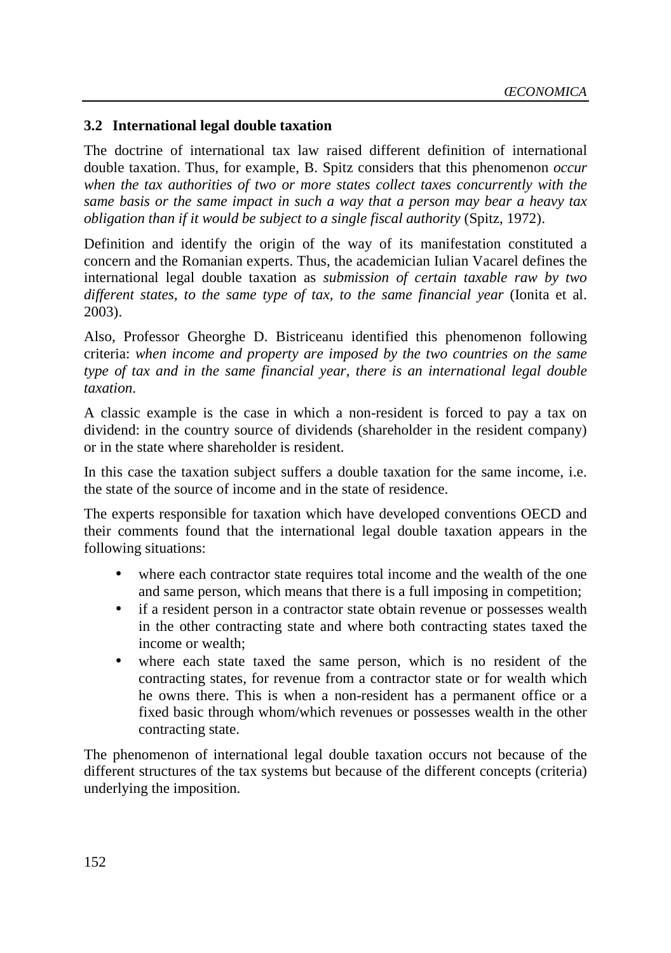#### **3.2 International legal double taxation**

The doctrine of international tax law raised different definition of international double taxation. Thus, for example, B. Spitz considers that this phenomenon *occur when the tax authorities of two or more states collect taxes concurrently with the same basis or the same impact in such a way that a person may bear a heavy tax obligation than if it would be subject to a single fiscal authority* (Spitz, 1972).

Definition and identify the origin of the way of its manifestation constituted a concern and the Romanian experts. Thus, the academician Iulian Vacarel defines the international legal double taxation as *submission of certain taxable raw by two different states, to the same type of tax, to the same financial year* (Ionita et al. 2003).

Also, Professor Gheorghe D. Bistriceanu identified this phenomenon following criteria: *when income and property are imposed by the two countries on the same type of tax and in the same financial year, there is an international legal double taxation*.

A classic example is the case in which a non-resident is forced to pay a tax on dividend: in the country source of dividends (shareholder in the resident company) or in the state where shareholder is resident.

In this case the taxation subject suffers a double taxation for the same income, i.e. the state of the source of income and in the state of residence.

The experts responsible for taxation which have developed conventions OECD and their comments found that the international legal double taxation appears in the following situations:

- where each contractor state requires total income and the wealth of the one and same person, which means that there is a full imposing in competition;
- if a resident person in a contractor state obtain revenue or possesses wealth in the other contracting state and where both contracting states taxed the income or wealth;
- where each state taxed the same person, which is no resident of the contracting states, for revenue from a contractor state or for wealth which he owns there. This is when a non-resident has a permanent office or a fixed basic through whom/which revenues or possesses wealth in the other contracting state.

The phenomenon of international legal double taxation occurs not because of the different structures of the tax systems but because of the different concepts (criteria) underlying the imposition.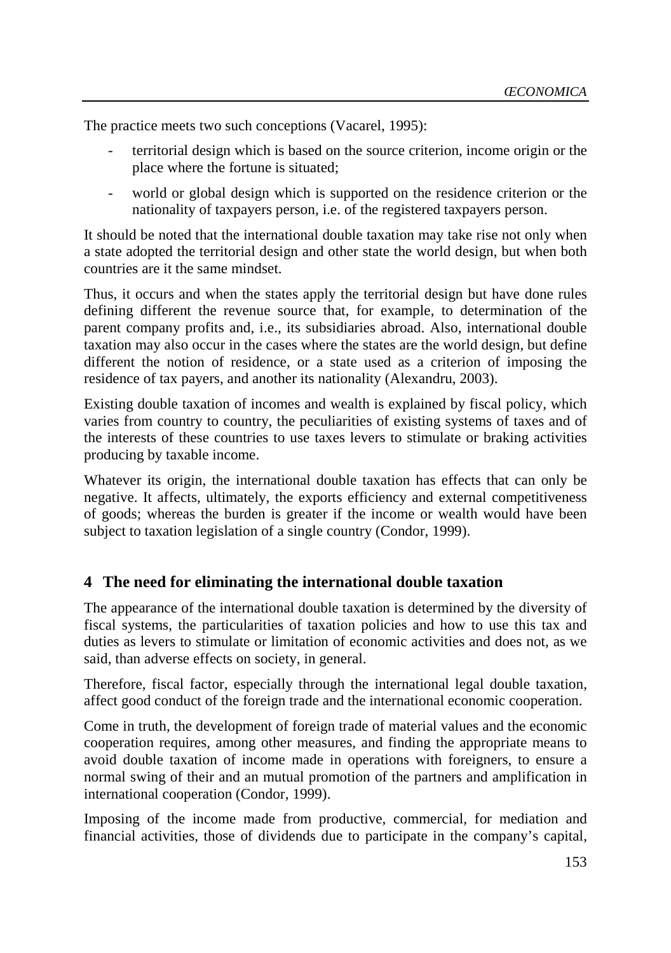The practice meets two such conceptions (Vacarel, 1995):

- territorial design which is based on the source criterion, income origin or the place where the fortune is situated;
- world or global design which is supported on the residence criterion or the nationality of taxpayers person, i.e. of the registered taxpayers person.

It should be noted that the international double taxation may take rise not only when a state adopted the territorial design and other state the world design, but when both countries are it the same mindset.

Thus, it occurs and when the states apply the territorial design but have done rules defining different the revenue source that, for example, to determination of the parent company profits and, i.e., its subsidiaries abroad. Also, international double taxation may also occur in the cases where the states are the world design, but define different the notion of residence, or a state used as a criterion of imposing the residence of tax payers, and another its nationality (Alexandru, 2003).

Existing double taxation of incomes and wealth is explained by fiscal policy, which varies from country to country, the peculiarities of existing systems of taxes and of the interests of these countries to use taxes levers to stimulate or braking activities producing by taxable income.

Whatever its origin, the international double taxation has effects that can only be negative. It affects, ultimately, the exports efficiency and external competitiveness of goods; whereas the burden is greater if the income or wealth would have been subject to taxation legislation of a single country (Condor, 1999).

#### **4 The need for eliminating the international double taxation**

The appearance of the international double taxation is determined by the diversity of fiscal systems, the particularities of taxation policies and how to use this tax and duties as levers to stimulate or limitation of economic activities and does not, as we said, than adverse effects on society, in general.

Therefore, fiscal factor, especially through the international legal double taxation, affect good conduct of the foreign trade and the international economic cooperation.

Come in truth, the development of foreign trade of material values and the economic cooperation requires, among other measures, and finding the appropriate means to avoid double taxation of income made in operations with foreigners, to ensure a normal swing of their and an mutual promotion of the partners and amplification in international cooperation (Condor, 1999).

Imposing of the income made from productive, commercial, for mediation and financial activities, those of dividends due to participate in the company's capital,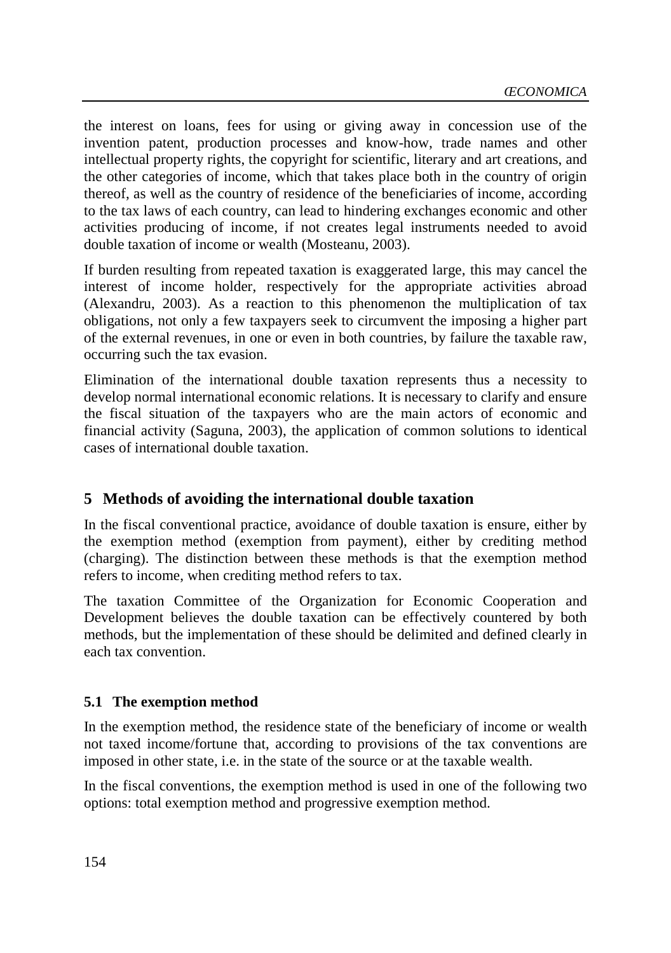the interest on loans, fees for using or giving away in concession use of the invention patent, production processes and know-how, trade names and other intellectual property rights, the copyright for scientific, literary and art creations, and the other categories of income, which that takes place both in the country of origin thereof, as well as the country of residence of the beneficiaries of income, according to the tax laws of each country, can lead to hindering exchanges economic and other activities producing of income, if not creates legal instruments needed to avoid double taxation of income or wealth (Mosteanu, 2003).

If burden resulting from repeated taxation is exaggerated large, this may cancel the interest of income holder, respectively for the appropriate activities abroad (Alexandru, 2003). As a reaction to this phenomenon the multiplication of tax obligations, not only a few taxpayers seek to circumvent the imposing a higher part of the external revenues, in one or even in both countries, by failure the taxable raw, occurring such the tax evasion.

Elimination of the international double taxation represents thus a necessity to develop normal international economic relations. It is necessary to clarify and ensure the fiscal situation of the taxpayers who are the main actors of economic and financial activity (Saguna, 2003), the application of common solutions to identical cases of international double taxation.

# **5 Methods of avoiding the international double taxation**

In the fiscal conventional practice, avoidance of double taxation is ensure, either by the exemption method (exemption from payment), either by crediting method (charging). The distinction between these methods is that the exemption method refers to income, when crediting method refers to tax.

The taxation Committee of the Organization for Economic Cooperation and Development believes the double taxation can be effectively countered by both methods, but the implementation of these should be delimited and defined clearly in each tax convention.

## **5.1 The exemption method**

In the exemption method, the residence state of the beneficiary of income or wealth not taxed income/fortune that, according to provisions of the tax conventions are imposed in other state, i.e. in the state of the source or at the taxable wealth.

In the fiscal conventions, the exemption method is used in one of the following two options: total exemption method and progressive exemption method.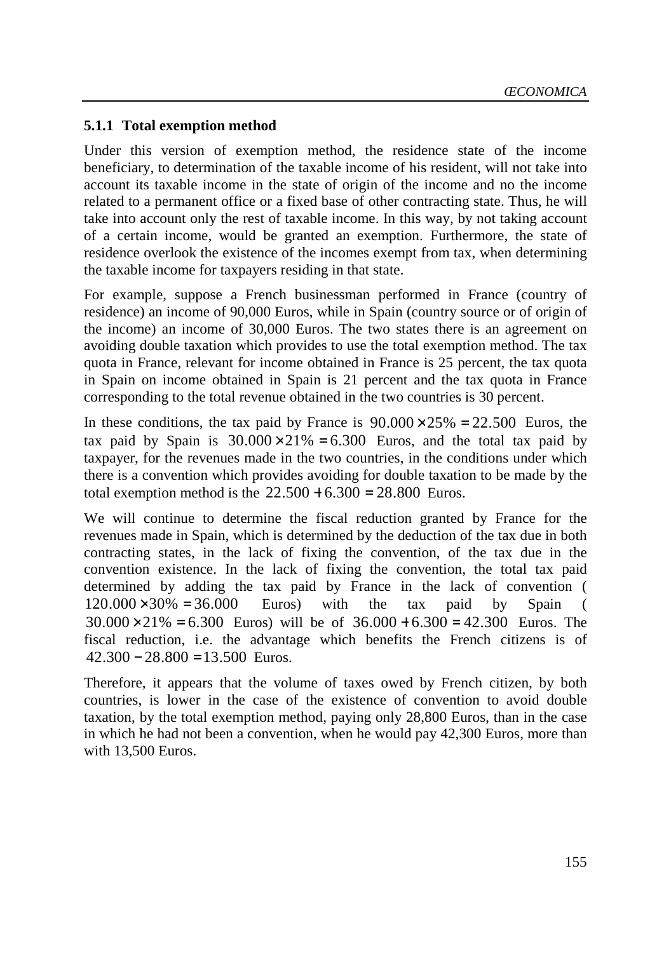#### **5.1.1 Total exemption method**

Under this version of exemption method, the residence state of the income beneficiary, to determination of the taxable income of his resident, will not take into account its taxable income in the state of origin of the income and no the income related to a permanent office or a fixed base of other contracting state. Thus, he will take into account only the rest of taxable income. In this way, by not taking account of a certain income, would be granted an exemption. Furthermore, the state of residence overlook the existence of the incomes exempt from tax, when determining the taxable income for taxpayers residing in that state.

For example, suppose a French businessman performed in France (country of residence) an income of 90,000 Euros, while in Spain (country source or of origin of the income) an income of 30,000 Euros. The two states there is an agreement on avoiding double taxation which provides to use the total exemption method. The tax quota in France, relevant for income obtained in France is 25 percent, the tax quota in Spain on income obtained in Spain is 21 percent and the tax quota in France corresponding to the total revenue obtained in the two countries is 30 percent.

In these conditions, the tax paid by France is  $90.000 \times 25\% = 22.500$  Euros, the tax paid by Spain is  $30.000 \times 21\% = 6.300$  Euros, and the total tax paid by taxpayer, for the revenues made in the two countries, in the conditions under which there is a convention which provides avoiding for double taxation to be made by the total exemption method is the  $22.500 + 6.300 = 28.800$  Euros.

We will continue to determine the fiscal reduction granted by France for the revenues made in Spain, which is determined by the deduction of the tax due in both contracting states, in the lack of fixing the convention, of the tax due in the convention existence. In the lack of fixing the convention, the total tax paid determined by adding the tax paid by France in the lack of convention (  $120.000\times30\% = 36.000$  Euros) with the tax paid by Spain (  $30.000 \times 21\% = 6.300$  Euros) will be of  $36.000 + 6.300 = 42.300$  Euros. The fiscal reduction, i.e. the advantage which benefits the French citizens is of  $42,300 - 28,800 = 13,500$  Euros.

Therefore, it appears that the volume of taxes owed by French citizen, by both countries, is lower in the case of the existence of convention to avoid double taxation, by the total exemption method, paying only 28,800 Euros, than in the case in which he had not been a convention, when he would pay 42,300 Euros, more than with 13,500 Euros.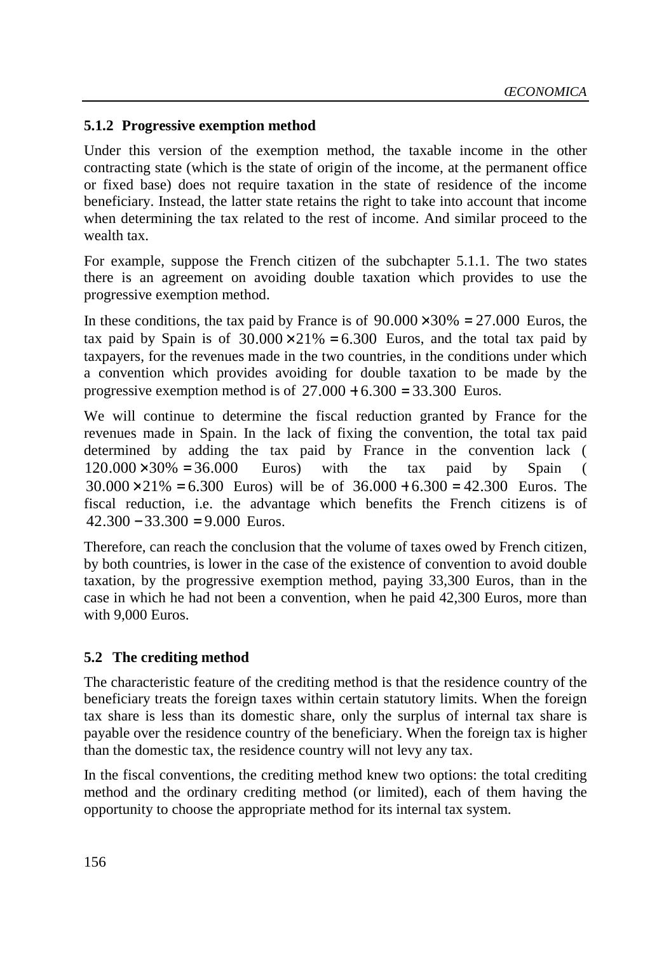## **5.1.2 Progressive exemption method**

Under this version of the exemption method, the taxable income in the other contracting state (which is the state of origin of the income, at the permanent office or fixed base) does not require taxation in the state of residence of the income beneficiary. Instead, the latter state retains the right to take into account that income when determining the tax related to the rest of income. And similar proceed to the wealth tax.

For example, suppose the French citizen of the subchapter 5.1.1. The two states there is an agreement on avoiding double taxation which provides to use the progressive exemption method.

In these conditions, the tax paid by France is of  $90.000 \times 30\% = 27.000$  Euros, the tax paid by Spain is of  $30.000 \times 21\% = 6.300$  Euros, and the total tax paid by taxpayers, for the revenues made in the two countries, in the conditions under which a convention which provides avoiding for double taxation to be made by the progressive exemption method is of  $27.000 + 6.300 = 33.300$  Euros.

We will continue to determine the fiscal reduction granted by France for the revenues made in Spain. In the lack of fixing the convention, the total tax paid determined by adding the tax paid by France in the convention lack (  $120.000\times30\% = 36.000$  Euros) with the tax paid by Spain (  $30.000 \times 21\% = 6.300$  Euros) will be of  $36.000 + 6.300 = 42.300$  Euros. The fiscal reduction, i.e. the advantage which benefits the French citizens is of  $42,300 - 33,300 = 9,000$  Euros.

Therefore, can reach the conclusion that the volume of taxes owed by French citizen, by both countries, is lower in the case of the existence of convention to avoid double taxation, by the progressive exemption method, paying 33,300 Euros, than in the case in which he had not been a convention, when he paid 42,300 Euros, more than with 9,000 Euros.

## **5.2 The crediting method**

The characteristic feature of the crediting method is that the residence country of the beneficiary treats the foreign taxes within certain statutory limits. When the foreign tax share is less than its domestic share, only the surplus of internal tax share is payable over the residence country of the beneficiary. When the foreign tax is higher than the domestic tax, the residence country will not levy any tax.

In the fiscal conventions, the crediting method knew two options: the total crediting method and the ordinary crediting method (or limited), each of them having the opportunity to choose the appropriate method for its internal tax system.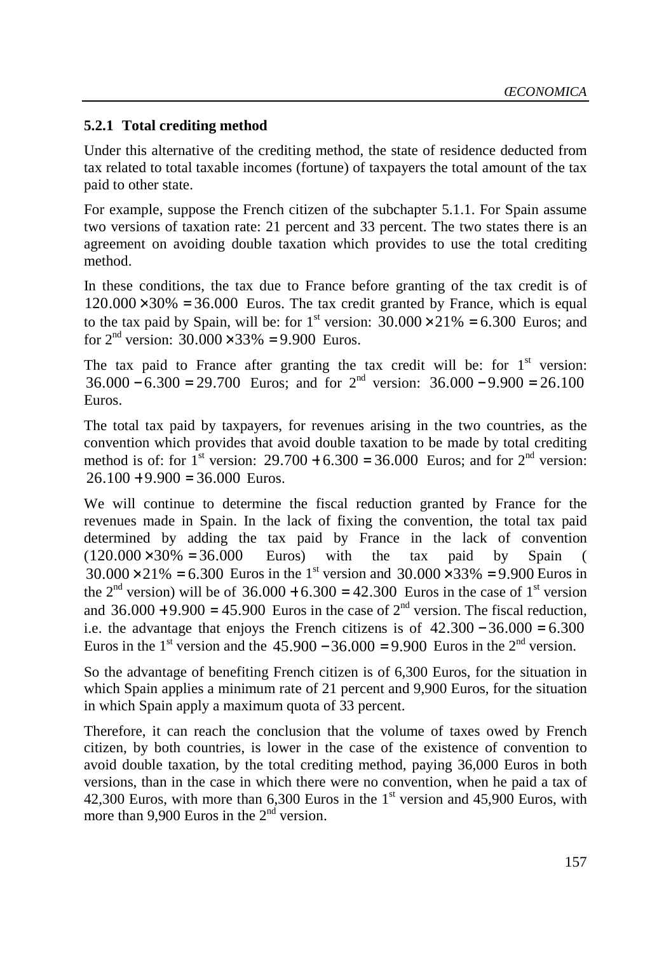#### **5.2.1 Total crediting method**

Under this alternative of the crediting method, the state of residence deducted from tax related to total taxable incomes (fortune) of taxpayers the total amount of the tax paid to other state.

For example, suppose the French citizen of the subchapter 5.1.1. For Spain assume two versions of taxation rate: 21 percent and 33 percent. The two states there is an agreement on avoiding double taxation which provides to use the total crediting method.

In these conditions, the tax due to France before granting of the tax credit is of  $120.000 \times 30\% = 36.000$  Euros. The tax credit granted by France, which is equal to the tax paid by Spain, will be: for  $1<sup>st</sup>$  version:  $30.000 \times 21\% = 6.300$  Euros; and for  $2^{nd}$  version:  $30.000 \times 33\% = 9.900$  Euros.

The tax paid to France after granting the tax credit will be: for  $1<sup>st</sup>$  version:  $36.000 - 6.300 = 29.700$  Euros; and for  $2<sup>nd</sup>$  version:  $36.000 - 9.900 = 26.100$ Euros.

The total tax paid by taxpayers, for revenues arising in the two countries, as the convention which provides that avoid double taxation to be made by total crediting method is of: for 1<sup>st</sup> version:  $29.700 + 6.300 = 36{,}000$  Euros; and for  $2<sup>nd</sup>$  version:  $26.100 + 9.900 = 36,000$  Euros.

We will continue to determine the fiscal reduction granted by France for the revenues made in Spain. In the lack of fixing the convention, the total tax paid determined by adding the tax paid by France in the lack of convention  $(120.000 \times 30\% = 36.000$  Euros) with the tax paid by Spain (  $30.000 \times 21\% = 6.300$  Euros in the 1<sup>st</sup> version and  $30.000 \times 33\% = 9.900$  Euros in the  $2<sup>nd</sup>$  version) will be of  $36.000 + 6.300 = 42.300$  Euros in the case of 1<sup>st</sup> version and  $36.000 + 9.900 = 45.900$  Euros in the case of  $2<sup>nd</sup>$  version. The fiscal reduction, i.e. the advantage that enjoys the French citizens is of  $42.300 - 36.000 = 6.300$ . Euros in the 1<sup>st</sup> version and the 45.900 − 36.000 = 9.900. Euros in the 2<sup>nd</sup> version.

So the advantage of benefiting French citizen is of 6,300 Euros, for the situation in which Spain applies a minimum rate of 21 percent and 9,900 Euros, for the situation in which Spain apply a maximum quota of 33 percent.

Therefore, it can reach the conclusion that the volume of taxes owed by French citizen, by both countries, is lower in the case of the existence of convention to avoid double taxation, by the total crediting method, paying 36,000 Euros in both versions, than in the case in which there were no convention, when he paid a tax of 42,300 Euros, with more than 6,300 Euros in the  $1<sup>st</sup>$  version and 45,900 Euros, with more than 9.900 Euros in the  $2<sup>nd</sup>$  version.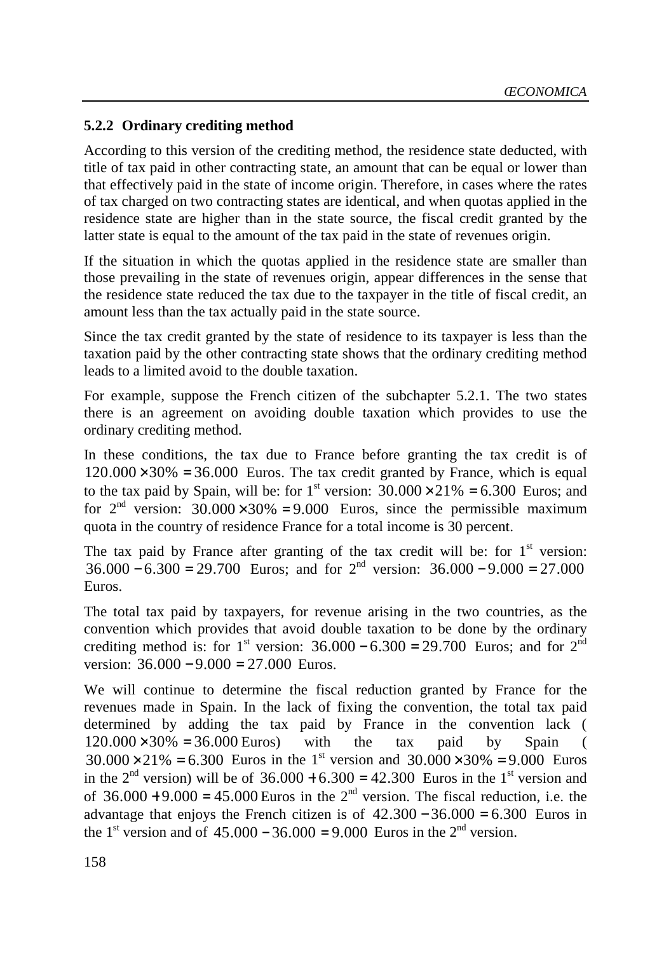### **5.2.2 Ordinary crediting method**

According to this version of the crediting method, the residence state deducted, with title of tax paid in other contracting state, an amount that can be equal or lower than that effectively paid in the state of income origin. Therefore, in cases where the rates of tax charged on two contracting states are identical, and when quotas applied in the residence state are higher than in the state source, the fiscal credit granted by the latter state is equal to the amount of the tax paid in the state of revenues origin.

If the situation in which the quotas applied in the residence state are smaller than those prevailing in the state of revenues origin, appear differences in the sense that the residence state reduced the tax due to the taxpayer in the title of fiscal credit, an amount less than the tax actually paid in the state source.

Since the tax credit granted by the state of residence to its taxpayer is less than the taxation paid by the other contracting state shows that the ordinary crediting method leads to a limited avoid to the double taxation.

For example, suppose the French citizen of the subchapter 5.2.1. The two states there is an agreement on avoiding double taxation which provides to use the ordinary crediting method.

In these conditions, the tax due to France before granting the tax credit is of  $120.000 \times 30\% = 36.000$  Euros. The tax credit granted by France, which is equal to the tax paid by Spain, will be: for 1<sup>st</sup> version:  $30.000 \times 21\% = 6.300$  Euros; and for  $2<sup>nd</sup>$  version:  $30.000 \times 30\% = 9.000$  Euros, since the permissible maximum quota in the country of residence France for a total income is 30 percent.

The tax paid by France after granting of the tax credit will be: for  $1<sup>st</sup>$  version:  $36.000 - 6.300 = 29.700$  Euros; and for  $2<sup>nd</sup>$  version:  $36.000 - 9.000 = 27.000$ . Euros.

The total tax paid by taxpayers, for revenue arising in the two countries, as the convention which provides that avoid double taxation to be done by the ordinary crediting method is: for  $1^{st}$  version:  $36.000 - 6.300 = 29.700$  Euros; and for  $2^{nd}$ version:  $36.000 - 9.000 = 27.000$  Euros.

We will continue to determine the fiscal reduction granted by France for the revenues made in Spain. In the lack of fixing the convention, the total tax paid determined by adding the tax paid by France in the convention lack (  $120.000\times30\% = 36.000$  Euros) with the tax paid by Spain (  $30.000 \times 21\% = 6.300$  Euros in the 1<sup>st</sup> version and  $30.000 \times 30\% = 9.000$  Euros in the  $2<sup>nd</sup>$  version) will be of  $36.000 + 6.300 = 42.300$  Euros in the 1<sup>st</sup> version and of  $36.000 + 9.000 = 45.000$  Euros in the  $2<sup>nd</sup>$  version. The fiscal reduction, i.e. the advantage that enjoys the French citizen is of  $42.300 - 36.000 = 6.300$  Euros in the 1<sup>st</sup> version and of  $45,000 - 36,000 = 9,000$  Euros in the 2<sup>nd</sup> version.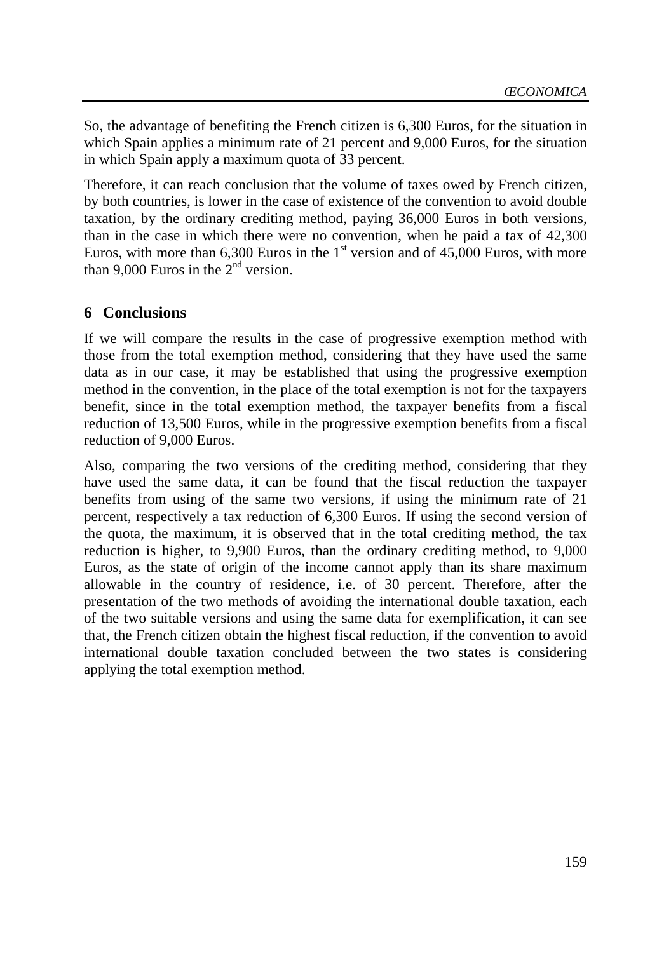So, the advantage of benefiting the French citizen is 6,300 Euros, for the situation in which Spain applies a minimum rate of 21 percent and 9,000 Euros, for the situation in which Spain apply a maximum quota of 33 percent.

Therefore, it can reach conclusion that the volume of taxes owed by French citizen, by both countries, is lower in the case of existence of the convention to avoid double taxation, by the ordinary crediting method, paying 36,000 Euros in both versions, than in the case in which there were no convention, when he paid a tax of 42,300 Euros, with more than  $6,300$  Euros in the  $1<sup>st</sup>$  version and of 45,000 Euros, with more than 9,000 Euros in the  $2<sup>nd</sup>$  version.

## **6 Conclusions**

If we will compare the results in the case of progressive exemption method with those from the total exemption method, considering that they have used the same data as in our case, it may be established that using the progressive exemption method in the convention, in the place of the total exemption is not for the taxpayers benefit, since in the total exemption method, the taxpayer benefits from a fiscal reduction of 13,500 Euros, while in the progressive exemption benefits from a fiscal reduction of 9,000 Euros.

Also, comparing the two versions of the crediting method, considering that they have used the same data, it can be found that the fiscal reduction the taxpayer benefits from using of the same two versions, if using the minimum rate of 21 percent, respectively a tax reduction of 6,300 Euros. If using the second version of the quota, the maximum, it is observed that in the total crediting method, the tax reduction is higher, to 9,900 Euros, than the ordinary crediting method, to 9,000 Euros, as the state of origin of the income cannot apply than its share maximum allowable in the country of residence, i.e. of 30 percent. Therefore, after the presentation of the two methods of avoiding the international double taxation, each of the two suitable versions and using the same data for exemplification, it can see that, the French citizen obtain the highest fiscal reduction, if the convention to avoid international double taxation concluded between the two states is considering applying the total exemption method.